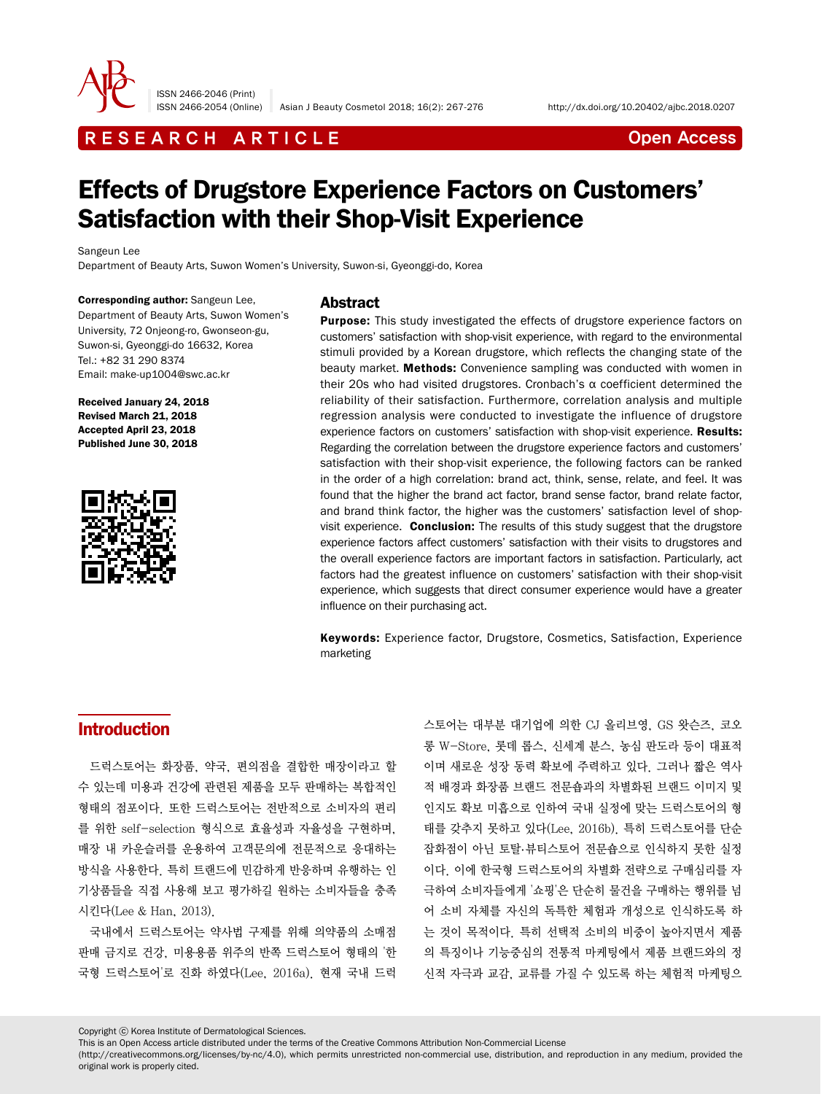

ISSN 2466-2046 (Print)

ISSN 2466-2054 (Online) Asian J Beauty Cosmetol 2018; 16(2): 267-276 http://dx.doi.org/10.20402/ajbc.2018.0207

## R E S E A R C H A R T I C L E CHE CONTROLLER THE CONTROLLER CONTROLLER THE CONTROLLER CONTROLLER CONTROLLER CONTROLLER THE CONTROLLER CONTROLLER CONTROLLER CONTROLLER CONTROLLER CONTROLLER CONTROLLER CONTROLLER CONTROLLER

# Effects of Drugstore Experience Factors on Customers' Satisfaction with their Shop-Visit Experience

Sangeun Lee

Department of Beauty Arts, Suwon Women's University, Suwon-si, Gyeonggi-do, Korea

Corresponding author: Sangeun Lee, Department of Beauty Arts, Suwon Women's University, 72 Onjeong-ro, Gwonseon-gu, Suwon-si, Gyeonggi-do 16632, Korea Tel.: +82 31 290 8374 Email: make-up1004@swc.ac.kr

Received January 24, 2018 Revised March 21, 2018 Accepted April 23, 2018 Published June 30, 2018



### Abstract

**Purpose:** This study investigated the effects of drugstore experience factors on customers' satisfaction with shop-visit experience, with regard to the environmental stimuli provided by a Korean drugstore, which reflects the changing state of the beauty market. Methods: Convenience sampling was conducted with women in their 20s who had visited drugstores. Cronbach's α coefficient determined the reliability of their satisfaction. Furthermore, correlation analysis and multiple regression analysis were conducted to investigate the influence of drugstore experience factors on customers' satisfaction with shop-visit experience. Results: Regarding the correlation between the drugstore experience factors and customers' satisfaction with their shop-visit experience, the following factors can be ranked in the order of a high correlation: brand act, think, sense, relate, and feel. It was found that the higher the brand act factor, brand sense factor, brand relate factor, and brand think factor, the higher was the customers' satisfaction level of shopvisit experience. Conclusion: The results of this study suggest that the drugstore experience factors affect customers' satisfaction with their visits to drugstores and the overall experience factors are important factors in satisfaction. Particularly, act factors had the greatest influence on customers' satisfaction with their shop-visit experience, which suggests that direct consumer experience would have a greater influence on their purchasing act.

Keywords: Experience factor, Drugstore, Cosmetics, Satisfaction, Experience marketing

### Introduction

드럭스토어는 화장품, 약국, 편의점을 결합한 매장이라고 할 수 있는데 미용과 건강에 관련된 제품을 모두 판매하는 복합적인 형태의 점포이다. 또한 드럭스토어는 전반적으로 소비자의 편리 를 위한 self-selection 형식으로 효율성과 자율성을 구현하며, 매장 내 카운슬러를 운용하여 고객문의에 전문적으로 응대하는 방식을 사용한다. 특히 트랜드에 민감하게 반응하며 유행하는 인 기상품들을 직접 사용해 보고 평가하길 원하는 소비자들을 충족 시킨다(Lee & Han, 2013).

국내에서 드럭스토어는 약사법 구제를 위해 의약품의 소매점 판매 금지로 건강, 미용용품 위주의 반쪽 드럭스토어 형태의 '한 국형 드럭스토어'로 진화 하였다(Lee, 2016a). 현재 국내 드럭 스토어는 대부분 대기업에 의한 CJ 올리브영, GS 왓슨즈, 코오 롱 W-Store, 롯데 롭스, 신세계 분스, 농심 판도라 등이 대표적 이며 새로운 성장 동력 확보에 주력하고 있다. 그러나 짧은 역사 적 배경과 화장품 브랜드 전문숍과의 차별화된 브랜드 이미지 및 인지도 확보 미흡으로 인하여 국내 실정에 맞는 드럭스토어의 형 태를 갖추지 못하고 있다(Lee, 2016b). 특히 드럭스토어를 단순 잡화점이 아닌 토탈.뷰티스토어 전문숍으로 인식하지 못한 실정 이다. 이에 한국형 드럭스토어의 차별화 전략으로 구매심리를 자 극하여 소비자들에게 '쇼핑'은 단순히 물건을 구매하는 행위를 넘 어 소비 자체를 자신의 독특한 체험과 개성으로 인식하도록 하 는 것이 목적이다. 특히 선택적 소비의 비중이 높아지면서 제품 의 특징이나 기능중심의 전통적 마케팅에서 제품 브랜드와의 정 신적 자극과 교감, 교류를 가질 수 있도록 하는 체험적 마케팅으

Copyright ⓒ Korea Institute of Dermatological Sciences.

This is an Open Access article distributed under the terms of the Creative Commons Attribution Non-Commercial License

(http://creativecommons.org/licenses/by-nc/4.0), which permits unrestricted non-commercial use, distribution, and reproduction in any medium, provided the original work is properly cited.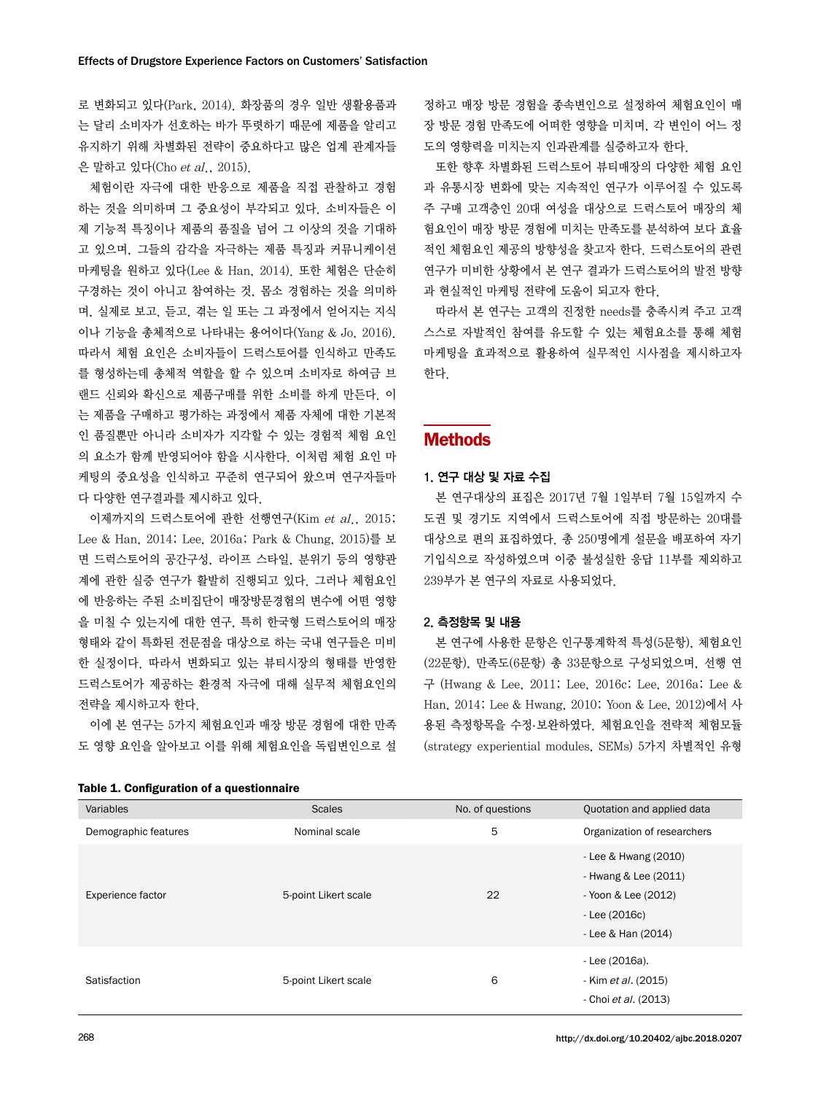로 변화되고 있다(Park, 2014). 화장품의 경우 일반 생활용품과 는 달리 소비자가 선호하는 바가 뚜렷하기 때문에 제품을 알리고 유지하기 위해 차별화된 전략이 중요하다고 많은 업계 관계자들 은 말하고 있다(Cho et al., 2015).

체험이란 자극에 대한 반응으로 제품을 직접 관찰하고 경험 하는 것을 의미하며 그 중요성이 부각되고 있다. 소비자들은 이 제 기능적 특징이나 제품의 품질을 넘어 그 이상의 것을 기대하 고 있으며, 그들의 감각을 자극하는 제품 특징과 커뮤니케이션 마케팅을 원하고 있다(Lee & Han, 2014). 또한 체험은 단순히 구경하는 것이 아니고 참여하는 것, 몸소 경험하는 것을 의미하 며, 실제로 보고, 듣고, 겪는 일 또는 그 과정에서 얻어지는 지식 이나 기능을 총체적으로 나타내는 용어이다(Yang & Jo, 2016). 따라서 체험 요인은 소비자들이 드럭스토어를 인식하고 만족도 를 형성하는데 총체적 역할을 할 수 있으며 소비자로 하여금 브 랜드 신뢰와 확신으로 제품구매를 위한 소비를 하게 만든다. 이 는 제품을 구매하고 평가하는 과정에서 제품 자체에 대한 기본적 인 품질뿐만 아니라 소비자가 지각할 수 있는 경험적 체험 요인 의 요소가 함께 반영되어야 함을 시사한다. 이처럼 체험 요인 마 케팅의 중요성을 인식하고 꾸준히 연구되어 왔으며 연구자들마 다 다양한 연구결과를 제시하고 있다.

이제까지의 드럭스토어에 관한 선행연구(Kim et al., 2015; Lee & Han, 2014; Lee, 2016a; Park & Chung, 2015)를 보 면 드럭스토어의 공간구성, 라이프 스타일, 분위기 등의 영향관 계에 관한 실증 연구가 활발히 진행되고 있다. 그러나 체험요인 에 반응하는 주된 소비집단이 매장방문경험의 변수에 어떤 영향 을 미칠 수 있는지에 대한 연구, 특히 한국형 드럭스토어의 매장 형태와 같이 특화된 전문점을 대상으로 하는 국내 연구들은 미비 한 실정이다. 따라서 변화되고 있는 뷰티시장의 형태를 반영한 드럭스토어가 제공하는 환경적 자극에 대해 실무적 체험요인의 전략을 제시하고자 한다.

이에 본 연구는 5가지 체험요인과 매장 방문 경험에 대한 만족 도 영향 요인을 알아보고 이를 위해 체험요인을 독립변인으로 설

|  | Table 1. Configuration of a questionnaire |  |  |  |
|--|-------------------------------------------|--|--|--|
|--|-------------------------------------------|--|--|--|

정하고 매장 방문 경험을 종속변인으로 설정하여 체험요인이 매 장 방문 경험 만족도에 어떠한 영향을 미치며, 각 변인이 어느 정 도의 영향력을 미치는지 인과관계를 실증하고자 한다.

또한 향후 차별화된 드럭스토어 뷰티매장의 다양한 체험 요인 과 유통시장 변화에 맞는 지속적인 연구가 이루어질 수 있도록 주 구매 고객층인 20대 여성을 대상으로 드럭스토어 매장의 체 험요인이 매장 방문 경험에 미치는 만족도를 분석하여 보다 효율 적인 체험요인 제공의 방향성을 찾고자 한다. 드럭스토어의 관련 연구가 미비한 상황에서 본 연구 결과가 드럭스토어의 발전 방향 과 현실적인 마케팅 전략에 도움이 되고자 한다.

따라서 본 연구는 고객의 진정한 needs를 충족시켜 주고 고객 스스로 자발적인 참여를 유도할 수 있는 체험요소를 통해 체험 마케팅을 효과적으로 활용하여 실무적인 시사점을 제시하고자 한다.

### **Methods**

#### 1. 연구 대상 및 자료 수집

본 연구대상의 표집은 2017년 7월 1일부터 7월 15일까지 수 도권 및 경기도 지역에서 드럭스토어에 직접 방문하는 20대를 대상으로 편의 표집하였다. 총 250명에게 설문을 배포하여 자기 기입식으로 작성하였으며 이중 불성실한 응답 11부를 제외하고 239부가 본 연구의 자료로 사용되었다.

#### 2. 측정항목 및 내용

본 연구에 사용한 문항은 인구통계학적 특성(5문항), 체험요인 (22문항), 만족도(6문항) 총 33문항으로 구성되었으며, 선행 연 구 (Hwang & Lee, 2011; Lee, 2016c; Lee, 2016a; Lee & Han, 2014; Lee & Hwang, 2010; Yoon & Lee, 2012)에서 사 용된 측정항목을 수정.보완하였다. 체험요인을 전략적 체험모듈 (strategy experiential modules, SEMs) 5가지 차별적인 유형

| Variables                | <b>Scales</b>        | No. of questions | Quotation and applied data                                                                                   |
|--------------------------|----------------------|------------------|--------------------------------------------------------------------------------------------------------------|
| Demographic features     | Nominal scale        | 5                | Organization of researchers                                                                                  |
| <b>Experience factor</b> | 5-point Likert scale | 22               | - Lee & Hwang (2010)<br>- Hwang & Lee (2011)<br>- Yoon & Lee (2012)<br>$-$ Lee (2016c)<br>- Lee & Han (2014) |
| Satisfaction             | 5-point Likert scale | 6                | - Lee (2016a).<br>- Kim et al. (2015)<br>- Choi et al. (2013)                                                |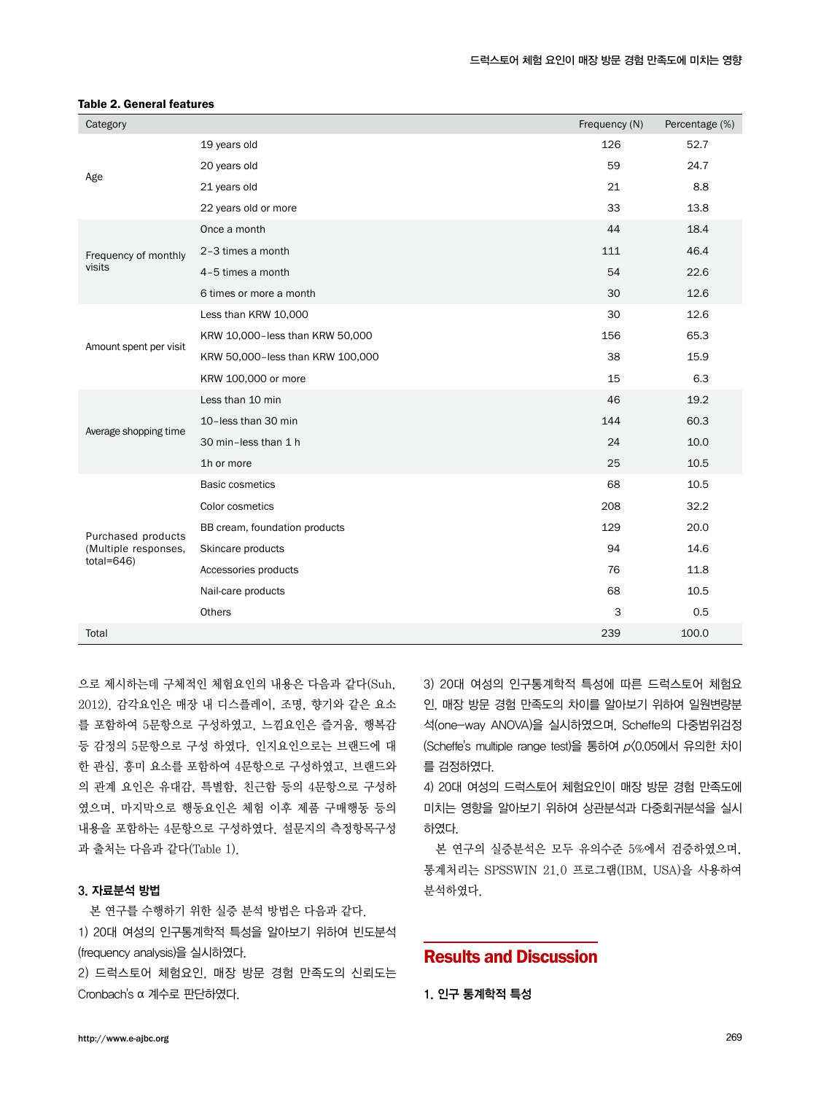| Category                               |                                  | Frequency (N) | Percentage (%) |
|----------------------------------------|----------------------------------|---------------|----------------|
|                                        | 19 years old                     | 126           | 52.7           |
|                                        | 20 years old                     | 59            | 24.7           |
| Age                                    | 21 years old                     | 21            | 8.8            |
|                                        | 22 years old or more             | 33            | 13.8           |
|                                        | Once a month                     | 44            | 18.4           |
| Frequency of monthly                   | 2-3 times a month                | 111           | 46.4           |
| visits                                 | 4-5 times a month                | 54            | 22.6           |
|                                        | 6 times or more a month          | 30            | 12.6           |
|                                        | Less than KRW 10,000             | 30            | 12.6           |
|                                        | KRW 10,000-less than KRW 50,000  | 156           | 65.3           |
| Amount spent per visit                 | KRW 50,000-less than KRW 100,000 | 38            | 15.9           |
|                                        | KRW 100,000 or more              | 15            | 6.3            |
|                                        | Less than 10 min                 | 46            | 19.2           |
|                                        | 10-less than 30 min              | 144           | 60.3           |
| Average shopping time                  | 30 min-less than 1 h             | 24            | 10.0           |
|                                        | 1h or more                       | 25            | 10.5           |
|                                        | <b>Basic cosmetics</b>           | 68            | 10.5           |
|                                        | Color cosmetics                  | 208           | 32.2           |
| Purchased products                     | BB cream, foundation products    | 129           | 20.0           |
| (Multiple responses,<br>total= $646$ ) | Skincare products                | 94            | 14.6           |
|                                        | Accessories products             | 76            | 11.8           |
|                                        | Nail-care products               | 68            | 10.5           |
|                                        | Others                           | 3             | 0.5            |
| Total                                  |                                  | 239           | 100.0          |

#### Table 2. General features

으로 제시하는데 구체적인 체험요인의 내용은 다음과 같다(Suh, 2012). 감각요인은 매장 내 디스플레이, 조명, 향기와 같은 요소 를 포함하여 5문항으로 구성하였고, 느낌요인은 즐거움, 행복감 등 감정의 5문항으로 구성 하였다. 인지요인으로는 브랜드에 대 한 관심, 흥미 요소를 포함하여 4문항으로 구성하였고, 브랜드와 의 관계 요인은 유대감, 특별함, 친근함 등의 4문항으로 구성하 였으며, 마지막으로 행동요인은 체험 이후 제품 구매행동 등의 내용을 포함하는 4문항으로 구성하였다. 설문지의 측정항목구성 과 출처는 다음과 같다(Table 1).

### 3. 자료분석 방법

본 연구를 수행하기 위한 실증 분석 방법은 다음과 같다. 1) 20대 여성의 인구통계학적 특성을 알아보기 위하여 빈도분석 (frequency analysis)을 실시하였다.

2) 드럭스토어 체험요인, 매장 방문 경험 만족도의 신뢰도는 Cronbach's α 계수로 판단하였다.

3) 20대 여성의 인구통계학적 특성에 따른 드럭스토어 체험요 인, 매장 방문 경험 만족도의 차이를 알아보기 위하여 일원변량분 석(one-way ANOVA)을 실시하였으며, Scheffe의 다중범위검정 (Scheffe's multiple range test)을 통하여 p<0.05에서 유의한 차이 를 검정하였다.

4) 20대 여성의 드럭스토어 체험요인이 매장 방문 경험 만족도에 미치는 영향을 알아보기 위하여 상관분석과 다중회귀분석을 실시 하였다.

본 연구의 실증분석은 모두 유의수준 5%에서 검증하였으며, 통계처리는 SPSSWIN 21.0 프로그램(IBM, USA)을 사용하여 분석하였다.

### Results and Discussion

1. 인구 통계학적 특성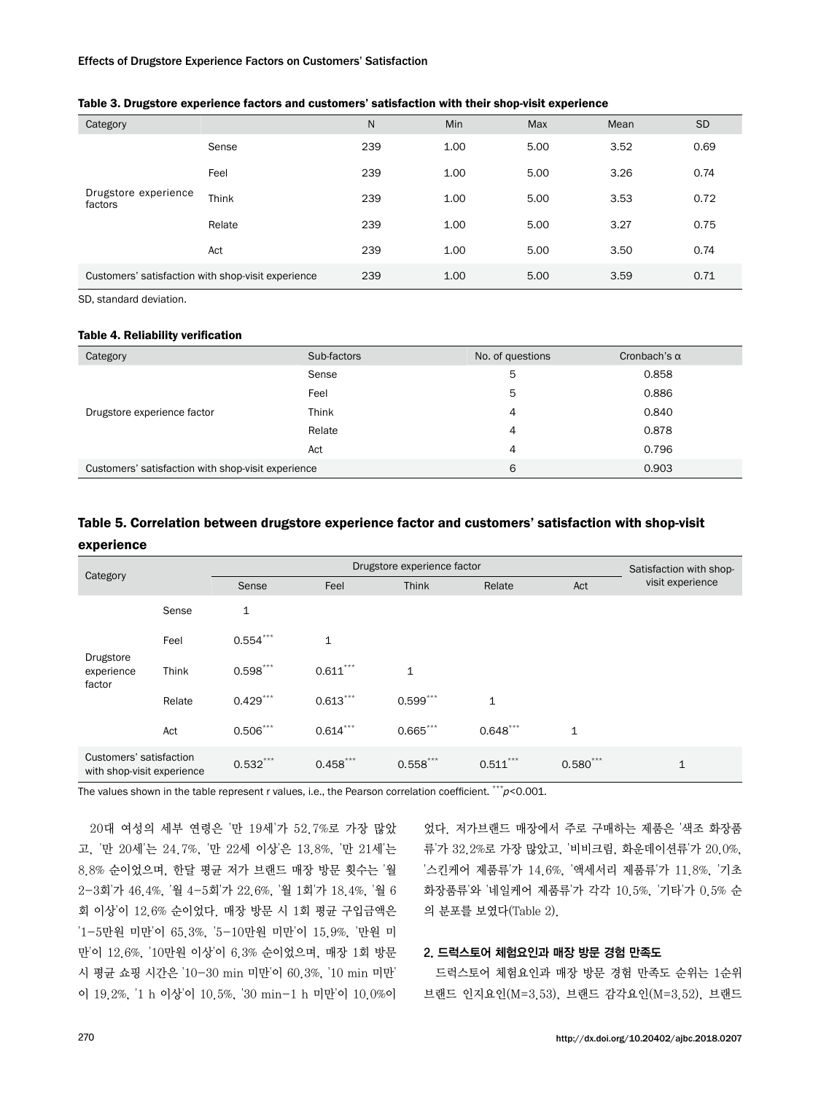#### Effects of Drugstore Experience Factors on Customers' Satisfaction

| Category                                           |        | N.  | <b>Min</b> | Max  | Mean | <b>SD</b> |
|----------------------------------------------------|--------|-----|------------|------|------|-----------|
| Drugstore experience<br>factors                    | Sense  | 239 | 1.00       | 5.00 | 3.52 | 0.69      |
|                                                    | Feel   | 239 | 1.00       | 5.00 | 3.26 | 0.74      |
|                                                    | Think  | 239 | 1.00       | 5.00 | 3.53 | 0.72      |
|                                                    | Relate | 239 | 1.00       | 5.00 | 3.27 | 0.75      |
|                                                    | Act    | 239 | 1.00       | 5.00 | 3.50 | 0.74      |
| Customers' satisfaction with shop-visit experience |        | 239 | 1.00       | 5.00 | 3.59 | 0.71      |

### Table 3. Drugstore experience factors and customers' satisfaction with their shop-visit experience

SD, standard deviation.

#### Table 4. Reliability verification

| Category                                           | Sub-factors | No. of questions | Cronbach's $\alpha$ |
|----------------------------------------------------|-------------|------------------|---------------------|
|                                                    | Sense       | 5                | 0.858               |
|                                                    | Feel        | 5                | 0.886               |
| Drugstore experience factor                        | Think       | 4                | 0.840               |
|                                                    | Relate      | 4                | 0.878               |
|                                                    | Act         | 4                | 0.796               |
| Customers' satisfaction with shop-visit experience |             | 6                | 0.903               |

### Table 5. Correlation between drugstore experience factor and customers' satisfaction with shop-visit experience

| Category                                              |        | Drugstore experience factor |              |              |              |              | Satisfaction with shop- |
|-------------------------------------------------------|--------|-----------------------------|--------------|--------------|--------------|--------------|-------------------------|
|                                                       |        | Sense                       | Feel         | Think        | Relate       | Act          | visit experience        |
| Drugstore<br>experience<br>factor                     | Sense  | 1                           |              |              |              |              |                         |
|                                                       | Feel   | $0.554***$                  | $\mathbf{1}$ |              |              |              |                         |
|                                                       | Think  | $0.598***$                  | $0.611***$   | $\mathbf{1}$ |              |              |                         |
|                                                       | Relate | $0.429***$                  | $0.613***$   | $0.599***$   | $\mathbf{1}$ |              |                         |
|                                                       | Act    | $0.506***$                  | $0.614***$   | $0.665$ ***  | $0.648***$   | $\mathbf{1}$ |                         |
| Customers' satisfaction<br>with shop-visit experience |        | $0.532***$                  | $0.458***$   | $0.558***$   | $0.511***$   | $0.580***$   | 1                       |

The values shown in the table represent r values, i.e., the Pearson correlation coefficient.  $^{***}p<0.001$ .

20대 여성의 세부 연령은 '만 19세'가 52.7%로 가장 많았 고, '만 20세'는 24.7%, '만 22세 이상'은 13.8%, '만 21세'는 8.8% 순이었으며, 한달 평균 저가 브랜드 매장 방문 횟수는 '월 2-3회'가 46.4%, '월 4-5회'가 22.6%, '월 1회'가 18.4%, '월 6 회 이상'이 12.6% 순이었다. 매장 방문 시 1회 평균 구입금액은 '1-5만원 미만'이 65.3%, '5-10만원 미만'이 15.9%, '만원 미 만'이 12.6%, '10만원 이상'이 6.3% 순이었으며, 매장 1회 방문 시 평균 쇼핑 시간은 '10-30 min 미만'이 60.3%, '10 min 미만' 이 19.2%, '1 h 이상'이 10.5%, '30 min-1 h 미만'이 10.0%이

었다. 저가브랜드 매장에서 주로 구매하는 제품은 '색조 화장품 류'가 32.2%로 가장 많았고, '비비크림, 화운데이션류'가 20.0%, '스킨케어 제품류'가 14.6%, '액세서리 제품류'가 11.8%, '기초 화장품류'와 '네일케어 제품류'가 각각 10.5%, '기타'가 0.5% 순 의 분포를 보였다(Table 2).

### 2. 드럭스토어 체험요인과 매장 방문 경험 만족도

드럭스토어 체험요인과 매장 방문 경험 만족도 순위는 1순위 브랜드 인지요인(M=3.53), 브랜드 감각요인(M=3.52), 브랜드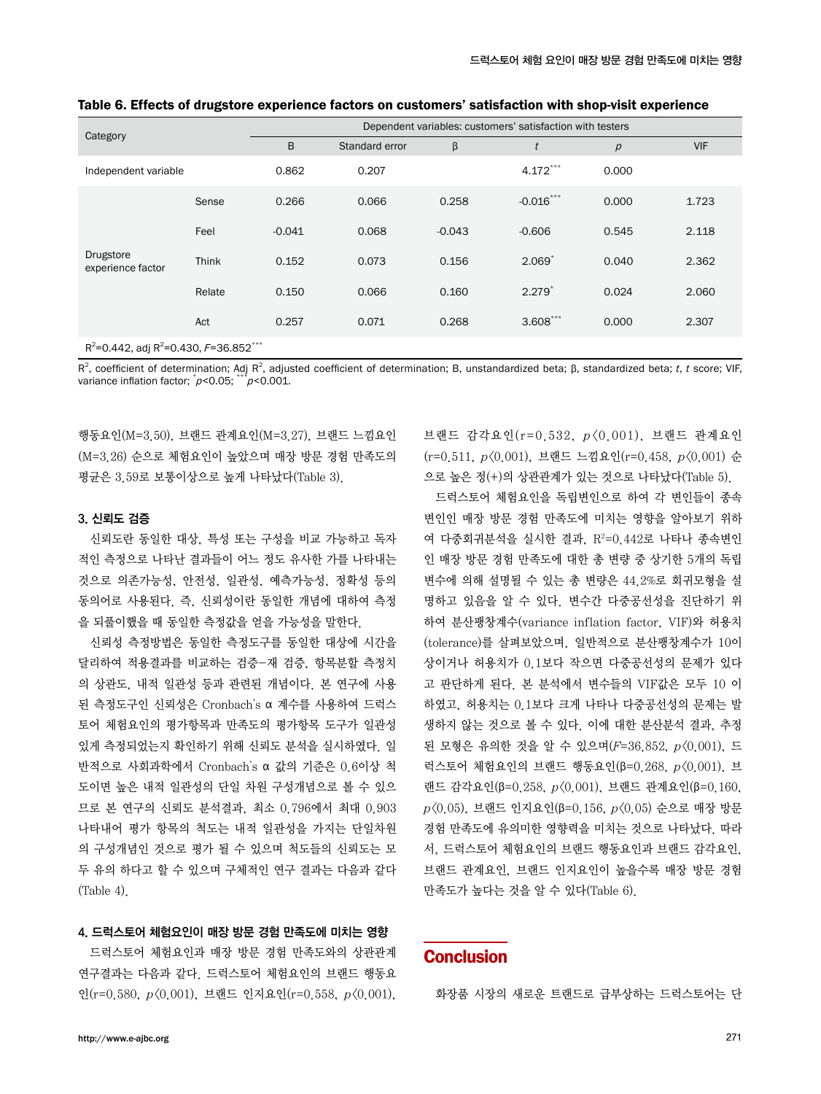| Category                                                |              | Dependent variables: customers' satisfaction with testers |                |          |             |                |            |  |
|---------------------------------------------------------|--------------|-----------------------------------------------------------|----------------|----------|-------------|----------------|------------|--|
|                                                         |              | B                                                         | Standard error | β        | t           | $\overline{p}$ | <b>VIF</b> |  |
| Independent variable                                    |              | 0.862                                                     | 0.207          |          | $4.172***$  | 0.000          |            |  |
| Sense                                                   |              | 0.266                                                     | 0.066          | 0.258    | $-0.016***$ | 0.000          | 1.723      |  |
| Drugstore<br>experience factor                          | Feel         | $-0.041$                                                  | 0.068          | $-0.043$ | $-0.606$    | 0.545          | 2.118      |  |
|                                                         | <b>Think</b> | 0.152                                                     | 0.073          | 0.156    | $2.069*$    | 0.040          | 2.362      |  |
|                                                         | Relate       | 0.150                                                     | 0.066          | 0.160    | $2.279*$    | 0.024          | 2.060      |  |
|                                                         | Act          | 0.257                                                     | 0.071          | 0.268    | $3.608***$  | 0.000          | 2.307      |  |
| $R^2$ =0.442, adj $R^2$ =0.430, F=36.852 <sup>***</sup> |              |                                                           |                |          |             |                |            |  |

Table 6. Effects of drugstore experience factors on customers' satisfaction with shop-visit experience

R<sup>2</sup>, coefficient of determination; Adj R<sup>2</sup>, adjusted coefficient of determination; B, unstandardized beta; β, standardized beta; *t*, *t* score; VIF, variance inflation factor;  $\hat{p}$ <0.05;  $\hat{p}$ \* $\hat{p}$ <0.001.

행동요인(M=3.50), 브랜드 관계요인(M=3.27), 브랜드 느낌요인 (M=3.26) 순으로 체험요인이 높았으며 매장 방문 경험 만족도의 평균은 3.59로 보통이상으로 높게 나타났다(Table 3).

### 3. 신뢰도 검증

신뢰도란 동일한 대상, 특성 또는 구성을 비교 가능하고 독자 적인 측정으로 나타난 결과들이 어느 정도 유사한 가를 나타내는 것으로 의존가능성, 안전성, 일관성, 예측가능성, 정확성 등의 동의어로 사용된다. 즉, 신뢰성이란 동일한 개념에 대하여 측정 을 되풀이했을 때 동일한 측정값을 얻을 가능성을 말한다.

신뢰성 측정방법은 동일한 측정도구를 동일한 대상에 시간을 달리하여 적용결과를 비교하는 검증-재 검증, 항목분할 측정치 의 상관도, 내적 일관성 등과 관련된 개념이다. 본 연구에 사용 된 측정도구인 신뢰성은 Cronbach's α 계수를 사용하여 드럭스 토어 체험요인의 평가항목과 만족도의 평가항목 도구가 일관성 있게 측정되었는지 확인하기 위해 신뢰도 분석을 실시하였다. 일 반적으로 사회과학에서 Cronbach's α 값의 기준은 0.6이상 척 도이면 높은 내적 일관성의 단일 차원 구성개념으로 볼 수 있으 므로 본 연구의 신뢰도 분석결과, 최소 0.796에서 최대 0.903 나타내어 평가 항목의 척도는 내적 일관성을 가지는 단일차원 의 구성개념인 것으로 평가 될 수 있으며 척도들의 신뢰도는 모 두 유의 하다고 할 수 있으며 구체적인 연구 결과는 다음과 같다 (Table 4).

### 4. 드럭스토어 체험요인이 매장 방문 경험 만족도에 미치는 영향

드럭스토어 체험요인과 매장 방문 경험 만족도와의 상관관계 연구결과는 다음과 같다. 드럭스토어 체험요인의 브랜드 행동요 인(r=0.580, p<0.001), 브랜드 인지요인(r=0.558, p<0.001), 브랜드 감각요인(r=0.532, <sup>p</sup> <0.001), 브랜드 관계요인 (r=0.511, p<0.001), 브랜드 느낌요인(r=0.458, p<0.001) 순 으로 높은 정(+)의 상관관계가 있는 것으로 나타났다(Table 5).

드럭스토어 체험요인을 독립변인으로 하여 각 변인들이 종속 변인인 매장 방문 경험 만족도에 미치는 영향을 알아보기 위하 여 다중회귀분석을 실시한 결과, R<sup>2</sup>=0.442로 나타나 종속변인 인 매장 방문 경험 만족도에 대한 총 변량 중 상기한 5개의 독립 변수에 의해 설명될 수 있는 총 변량은 44.2%로 회귀모형을 설 명하고 있음을 알 수 있다. 변수간 다중공선성을 진단하기 위 하여 분산팽창계수(variance inflation factor, VIF)와 허용치 (tolerance)를 살펴보았으며, 일반적으로 분산팽창계수가 10이 상이거나 허용치가 0.1보다 작으면 다중공선성의 문제가 있다 고 판단하게 된다. 본 분석에서 변수들의 VIF값은 모두 10 이 하였고, 허용치는 0.1보다 크게 나타나 다중공선성의 문제는 발 생하지 않는 것으로 볼 수 있다. 이에 대한 분산분석 결과, 추정 된 모형은 유의한 것을 알 수 있으며(F=36.852, p<0.001), 드 럭스토어 체험요인의 브랜드 행동요인(β=0.268, p<0.001), 브 랜드 감각요인(β=0.258, p<0.001), 브랜드 관계요인(β=0.160,  $p(0.05)$ , 브랜드 인지요인(β=0.156,  $p(0.05)$  순으로 매장 방문 경험 만족도에 유의미한 영향력을 미치는 것으로 나타났다. 따라 서, 드럭스토어 체험요인의 브랜드 행동요인과 브랜드 감각요인, 브랜드 관계요인, 브랜드 인지요인이 높을수록 매장 방문 경험 만족도가 높다는 것을 알 수 있다(Table 6).

### **Conclusion**

화장품 시장의 새로운 트랜드로 급부상하는 드럭스토어는 단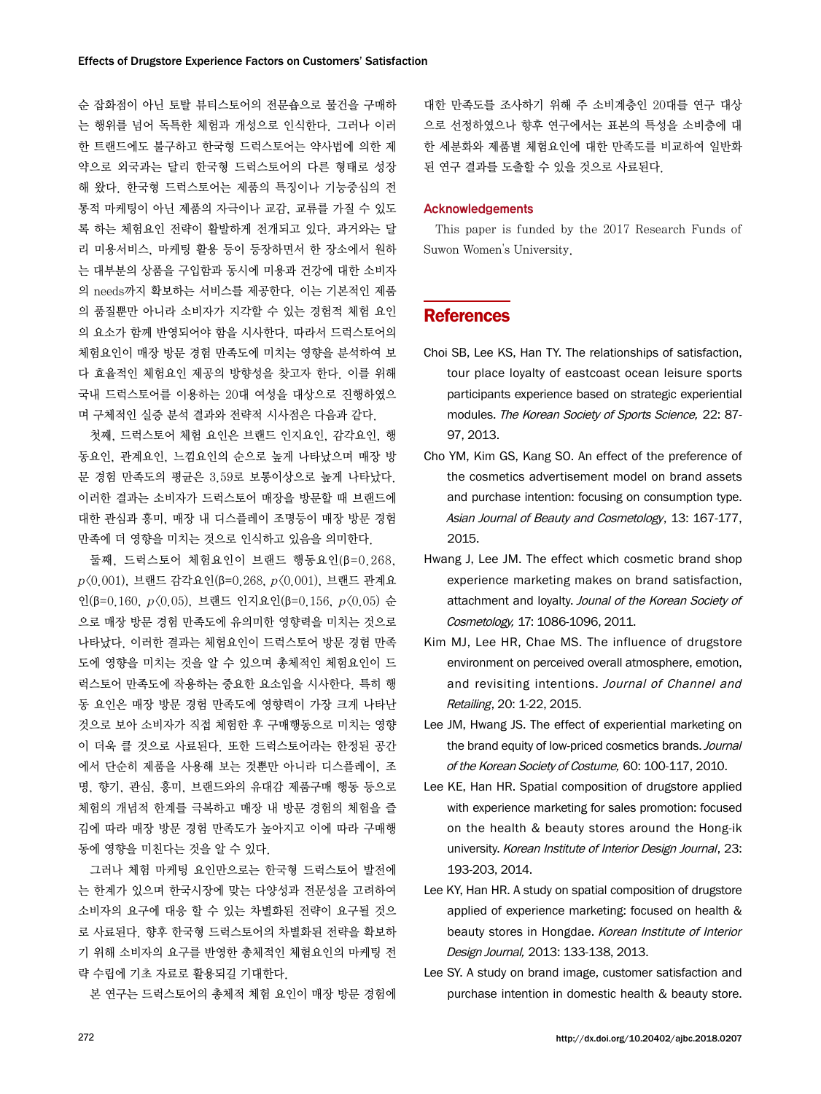순 잡화점이 아닌 토탈 뷰티스토어의 전문숍으로 물건을 구매하 는 행위를 넘어 독특한 체험과 개성으로 인식한다. 그러나 이러 한 트랜드에도 불구하고 한국형 드럭스토어는 약사법에 의한 제 약으로 외국과는 달리 한국형 드럭스토어의 다른 형태로 성장 해 왔다. 한국형 드럭스토어는 제품의 특징이나 기능중심의 전 통적 마케팅이 아닌 제품의 자극이나 교감, 교류를 가질 수 있도 록 하는 체험요인 전략이 활발하게 전개되고 있다. 과거와는 달 리 미용서비스, 마케팅 활용 등이 등장하면서 한 장소에서 원하 는 대부분의 상품을 구입함과 동시에 미용과 건강에 대한 소비자 의 needs까지 확보하는 서비스를 제공한다. 이는 기본적인 제품 의 품질뿐만 아니라 소비자가 지각할 수 있는 경험적 체험 요인 의 요소가 함께 반영되어야 함을 시사한다. 따라서 드럭스토어의 체험요인이 매장 방문 경험 만족도에 미치는 영향을 분석하여 보 다 효율적인 체험요인 제공의 방향성을 찾고자 한다. 이를 위해 국내 드럭스토어를 이용하는 20대 여성을 대상으로 진행하였으 며 구체적인 실증 분석 결과와 전략적 시사점은 다음과 같다.

첫째, 드럭스토어 체험 요인은 브랜드 인지요인, 감각요인, 행 동요인, 관계요인, 느낌요인의 순으로 높게 나타났으며 매장 방 문 경험 만족도의 평균은 3.59로 보통이상으로 높게 나타났다. 이러한 결과는 소비자가 드럭스토어 매장을 방문할 때 브랜드에 대한 관심과 흥미, 매장 내 디스플레이 조명등이 매장 방문 경험 만족에 더 영향을 미치는 것으로 인식하고 있음을 의미한다.

둘째, 드럭스토어 체험요인이 브랜드 행동요인(β=0.268,  $p(0.001)$ , 브랜드 감각요인(β=0.268,  $p(0.001)$ , 브랜드 관계요 인(β=0.160, p<0.05), 브랜드 인지요인(β=0.156, p<0.05) 순 으로 매장 방문 경험 만족도에 유의미한 영향력을 미치는 것으로 나타났다. 이러한 결과는 체험요인이 드럭스토어 방문 경험 만족 도에 영향을 미치는 것을 알 수 있으며 총체적인 체험요인이 드 럭스토어 만족도에 작용하는 중요한 요소임을 시사한다. 특히 행 동 요인은 매장 방문 경험 만족도에 영향력이 가장 크게 나타난 것으로 보아 소비자가 직접 체험한 후 구매행동으로 미치는 영향 이 더욱 클 것으로 사료된다. 또한 드럭스토어라는 한정된 공간 에서 단순히 제품을 사용해 보는 것뿐만 아니라 디스플레이, 조 명, 향기, 관심, 흥미, 브랜드와의 유대감 제품구매 행동 등으로 체험의 개념적 한계를 극복하고 매장 내 방문 경험의 체험을 즐 김에 따라 매장 방문 경험 만족도가 높아지고 이에 따라 구매행 동에 영향을 미친다는 것을 알 수 있다.

그러나 체험 마케팅 요인만으로는 한국형 드럭스토어 발전에 는 한계가 있으며 한국시장에 맞는 다양성과 전문성을 고려하여 소비자의 요구에 대응 할 수 있는 차별화된 전략이 요구될 것으 로 사료된다. 향후 한국형 드럭스토어의 차별화된 전략을 확보하 기 위해 소비자의 요구를 반영한 총체적인 체험요인의 마케팅 전 략 수립에 기초 자료로 활용되길 기대한다.

본 연구는 드럭스토어의 총체적 체험 요인이 매장 방문 경험에

대한 만족도를 조사하기 위해 주 소비계층인 20대를 연구 대상 으로 선정하였으나 향후 연구에서는 표본의 특성을 소비층에 대 한 세분화와 제품별 체험요인에 대한 만족도를 비교하여 일반화 된 연구 결과를 도출할 수 있을 것으로 사료된다.

#### Acknowledgements

This paper is funded by the 2017 Research Funds of Suwon Women's University.

### References

- Choi SB, Lee KS, Han TY. The relationships of satisfaction, tour place loyalty of eastcoast ocean leisure sports participants experience based on strategic experiential modules. The Korean Society of Sports Science, 22: 87- 97, 2013.
- Cho YM, Kim GS, Kang SO. An effect of the preference of the cosmetics advertisement model on brand assets and purchase intention: focusing on consumption type. Asian Journal of Beauty and Cosmetology, 13: 167-177, 2015.
- Hwang J, Lee JM. The effect which cosmetic brand shop experience marketing makes on brand satisfaction, attachment and loyalty. Jounal of the Korean Society of Cosmetology, 17: 1086-1096, 2011.
- Kim MJ, Lee HR, Chae MS. The influence of drugstore environment on perceived overall atmosphere, emotion, and revisiting intentions. Journal of Channel and Retailing, 20: 1-22, 2015.
- Lee JM, Hwang JS. The effect of experiential marketing on the brand equity of low-priced cosmetics brands. Journal of the Korean Society of Costume, 60: 100-117, 2010.
- Lee KE, Han HR. Spatial composition of drugstore applied with experience marketing for sales promotion: focused on the health & beauty stores around the Hong-ik university. Korean Institute of Interior Design Journal, 23: 193-203, 2014.
- Lee KY, Han HR. A study on spatial composition of drugstore applied of experience marketing: focused on health & beauty stores in Hongdae. Korean Institute of Interior Design Journal, 2013: 133-138, 2013.
- Lee SY. A study on brand image, customer satisfaction and purchase intention in domestic health & beauty store.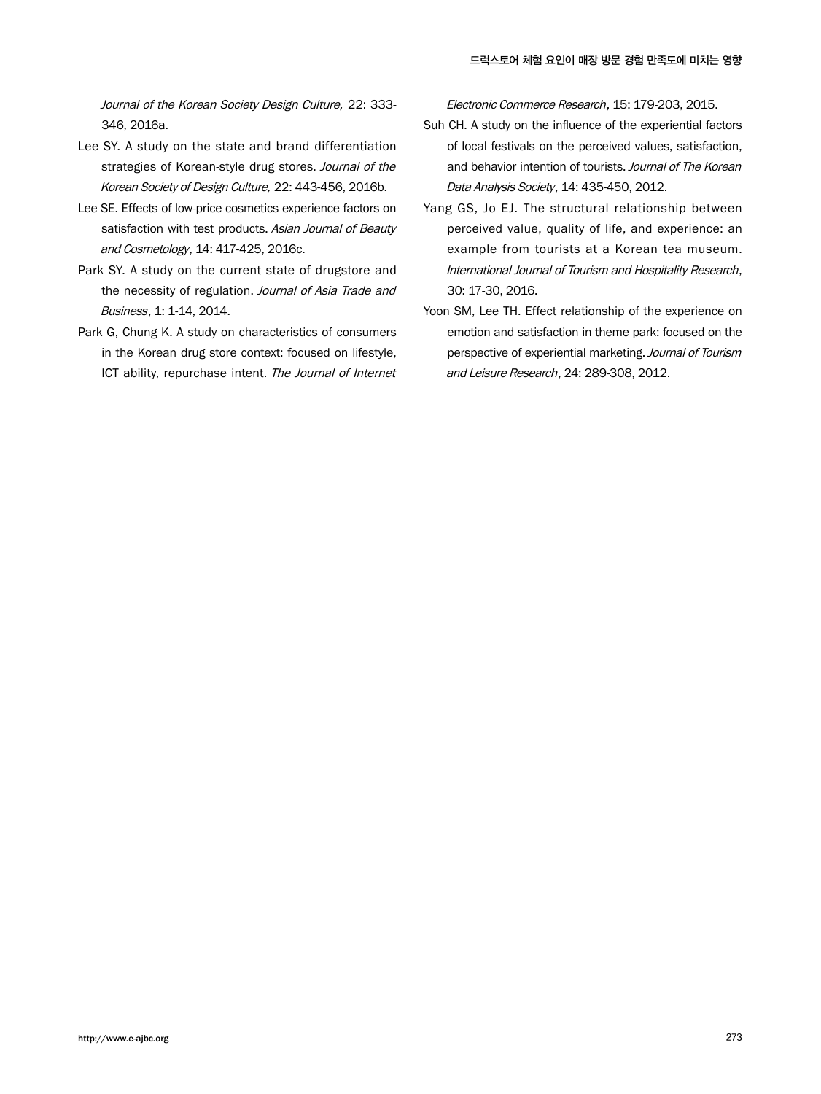Journal of the Korean Society Design Culture, 22: 333- 346, 2016a.

- Lee SY. A study on the state and brand differentiation strategies of Korean-style drug stores. Journal of the Korean Society of Design Culture, 22: 443-456, 2016b.
- Lee SE. Effects of low-price cosmetics experience factors on satisfaction with test products. Asian Journal of Beauty and Cosmetology, 14: 417-425, 2016c.
- Park SY. A study on the current state of drugstore and the necessity of regulation. Journal of Asia Trade and Business, 1: 1-14, 2014.
- Park G, Chung K. A study on characteristics of consumers in the Korean drug store context: focused on lifestyle, ICT ability, repurchase intent. The Journal of Internet

Electronic Commerce Research, 15: 179-203, 2015.

- Suh CH. A study on the influence of the experiential factors of local festivals on the perceived values, satisfaction, and behavior intention of tourists. Journal of The Korean Data Analysis Society, 14: 435-450, 2012.
- Yang GS, Jo EJ. The structural relationship between perceived value, quality of life, and experience: an example from tourists at a Korean tea museum. International Journal of Tourism and Hospitality Research, 30: 17-30, 2016.
- Yoon SM, Lee TH. Effect relationship of the experience on emotion and satisfaction in theme park: focused on the perspective of experiential marketing. Journal of Tourism and Leisure Research, 24: 289-308, 2012.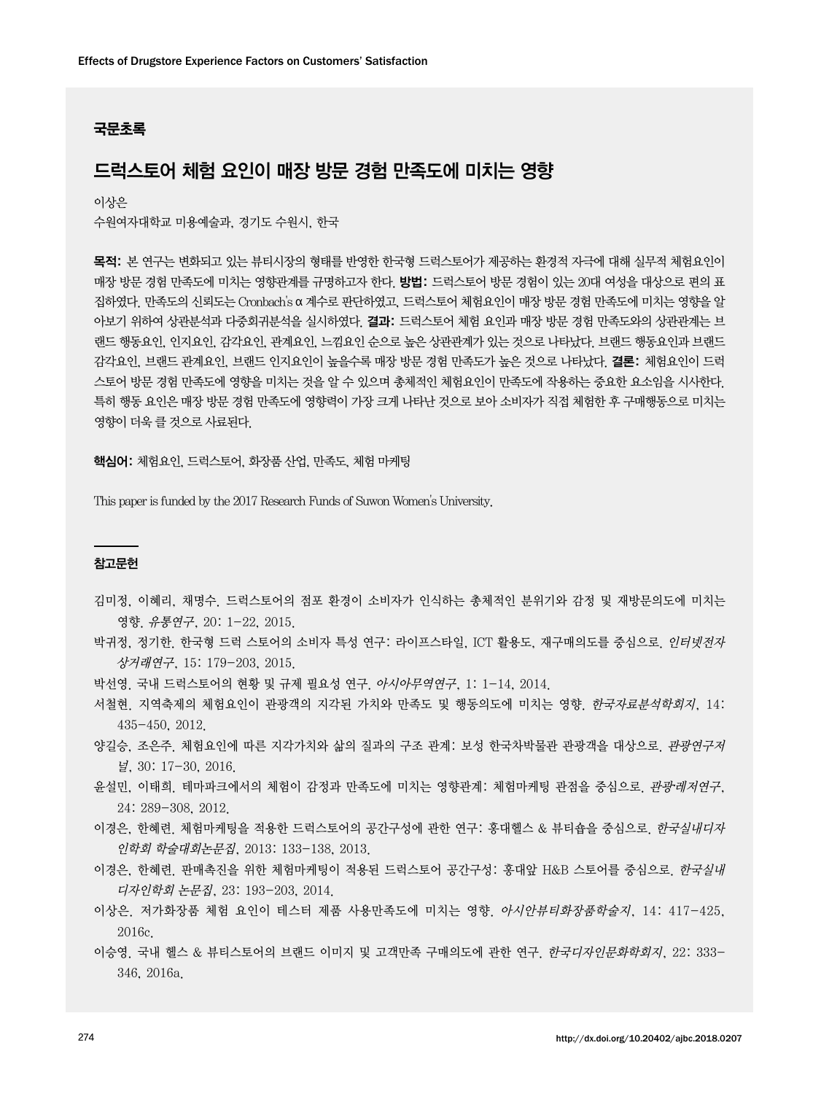### 국문초록

# 드럭스토어 체험 요인이 매장 방문 경험 만족도에 미치는 영향

이상은

수원여자대학교 미용예술과, 경기도 수원시, 한국

목적: 본 연구는 변화되고 있는 뷰티시장의 형태를 반영한 한국형 드럭스토어가 제공하는 환경적 자극에 대해 실무적 체험요인이 매장 방문 경험 만족도에 미치는 영향관계를 규명하고자 한다. 방법: 드럭스토어 방문 경험이 있는 20대 여성을 대상으로 편의 표 집하였다. 만족도의 신뢰도는 Cronbach's α 계수로 판단하였고, 드럭스토어 체험요인이 매장 방문 경험 만족도에 미치는 영향을 알 아보기 위하여 상관분석과 다중회귀분석을 실시하였다. 결과: 드럭스토어 체험 요인과 매장 방문 경험 만족도와의 상관관계는 브 랜드 행동요인, 인지요인, 감각요인, 관계요인, 느낌요인 순으로 높은 상관관계가 있는 것으로 나타났다. 브랜드 행동요인과 브랜드 감각요인, 브랜드 관계요인, 브랜드 인지요인이 높을수록 매장 방문 경험 만족도가 높은 것으로 나타났다. 결론: 체험요인이 드럭 스토어 방문 경험 만족도에 영향을 미치는 것을 알 수 있으며 총체적인 체험요인이 만족도에 작용하는 중요한 요소임을 시사한다. 특히 행동 요인은 매장 방문 경험 만족도에 영향력이 가장 크게 나타난 것으로 보아 소비자가 직접 체험한 후 구매행동으로 미치는 영향이 더욱 클 것으로 사료된다.

핵심어: 체험요인, 드럭스토어, 화장품 산업, 만족도, 체험 마케팅

This paper is funded by the 2017 Research Funds of Suwon Women's University.

### 참고문헌

- 김미정, 이혜리, 채명수. 드럭스토어의 점포 환경이 소비자가 인식하는 총체적인 분위기와 감정 및 재방문의도에 미치는 영향. 유통연구, 20: 1-22, 2015.
- 박귀정, 정기한. 한국형 드럭 스토어의 소비자 특성 연구: 라이프스타일, ICT 활용도, 재구매의도를 중심으로, 인터넷전자 상거래연구, 15: 179-203, 2015.
- 박선영. 국내 드럭스토어의 현황 및 규제 필요성 연구. 아시아무역연구, 1: 1-14, 2014.
- 서철현. 지역축제의 체험요인이 관광객의 지각된 가치와 만족도 및 행동의도에 미치는 영향. 한국자료분석학회지, 14: 435-450, 2012.
- 양길승, 조은주. 체험요인에 따른 지각가치와 삶의 질과의 구조 관계: 보성 한국차박물관 관광객을 대상으로. 관광연*구저* 널, 30: 17-30, 2016.
- 윤설민, 이태희. 테마파크에서의 체험이 감정과 만족도에 미치는 영향관계: 체험마케팅 관점을 중심으로, *관광·레저연구*, 24: 289-308, 2012.
- 이경은, 한혜련. 체험마케팅을 적용한 드럭스토어의 공간구성에 관한 연구: 홍대헬스 & 뷰티숍을 중심으로. *한국실내디자* 인학회 학술대회논문집, 2013: 133-138, 2013.
- 이경은, 한혜련. 판매촉진을 위한 체험마케팅이 적용된 드럭스토어 공간구성: 홍대앞 H&B 스토어를 중심으로. *한국실내* 디자인학회 논문집, 23: 193-203, 2014.
- 이상은. 저가화장품 체험 요인이 테스터 제품 사용만족도에 미치는 영향. 아시안뷰티화장품학술지, 14: 417-425, 2016c.
- 이승영. 국내 헬스 & 뷰티스토어의 브랜드 이미지 및 고객만족 구매의도에 관한 연구. 한국디자인문화학회지, 22: 333- 346, 2016a.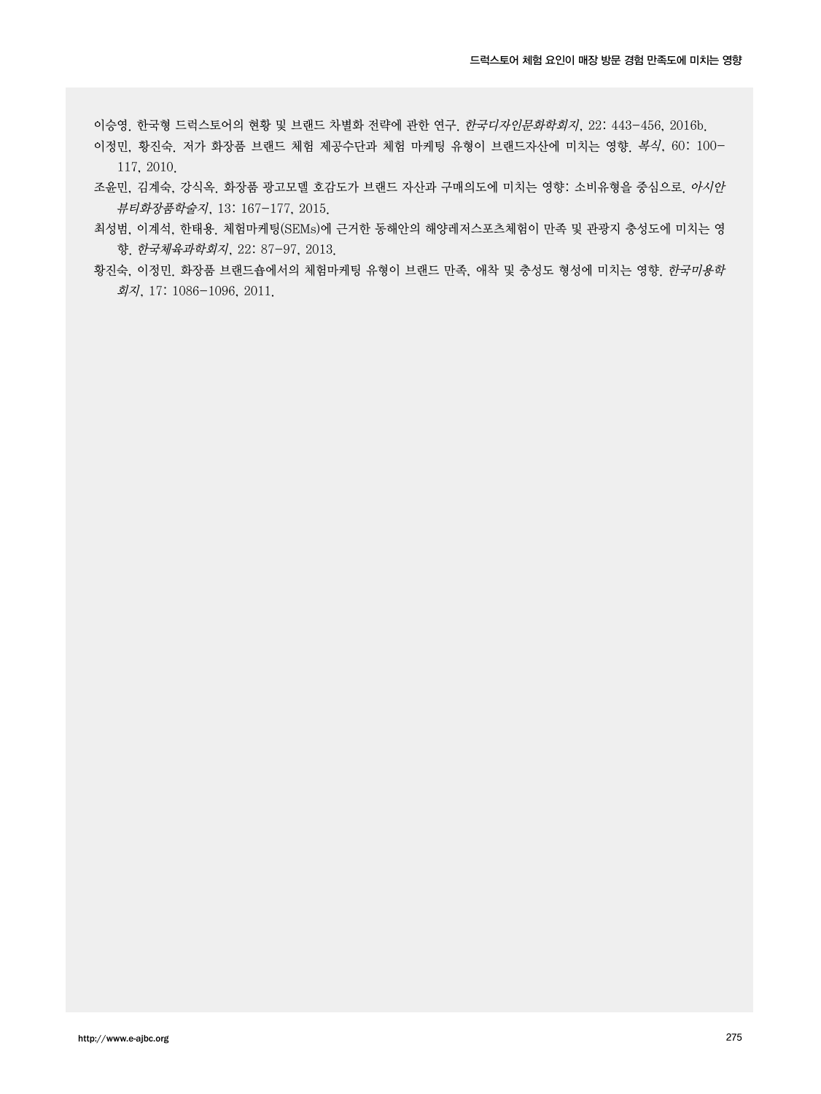이승영. 한국형 드럭스토어의 현황 및 브랜드 차별화 전략에 관한 연구. 한국디자인문화학회지, 22: 443-456, 2016b.

- 이정민, 황진숙. 저가 화장품 브랜드 체험 제공수단과 체험 마케팅 유형이 브랜드자산에 미치는 영향. 복식, 60: 100- 117, 2010.
- 조윤민, 김계숙, 강식옥. 화장품 광고모델 호감도가 브랜드 자산과 구매의도에 미치는 영향: 소비유형을 중심으로. 아시안 뷰티화장품학술지, 13: 167-177, 2015.
- 최성범, 이계석, 한태용. 체험마케팅(SEMs)에 근거한 동해안의 해양레저스포츠체험이 만족 및 관광지 충성도에 미치는 영 향. 한국체육과학회지, 22: 87-97, 2013.
- 황진숙, 이정민. 화장품 브랜드숍에서의 체험마케팅 유형이 브랜드 만족, 애착 및 충성도 형성에 미치는 영향. 한국미용학 회지, 17: 1086-1096, 2011.